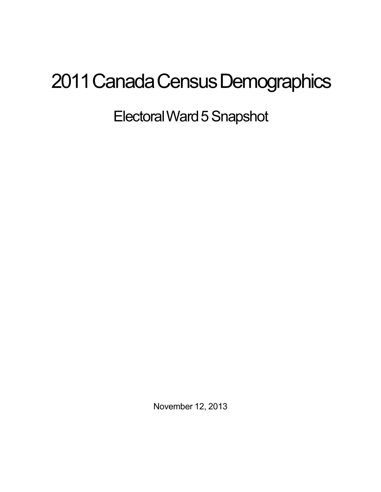## 2011 Canada Census Demographics

Electoral Ward 5 Snapshot

November 12, 2013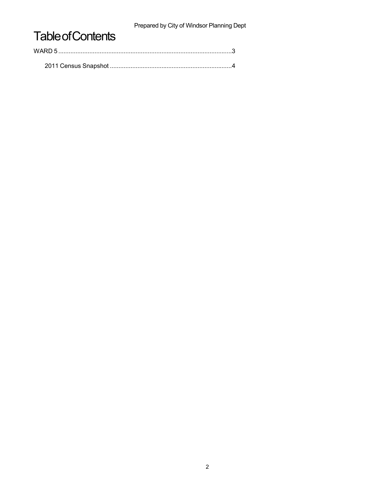Prepared by City of Windsor Planning Dept

## **Table of Contents**

| WARD 5 |  |  |
|--------|--|--|
|        |  |  |
|        |  |  |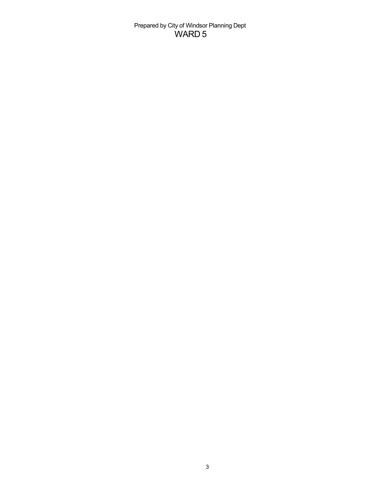Prepared by City of Windsor Planning Dept WARD 5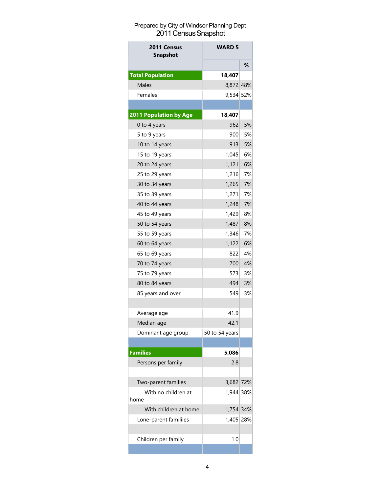## Prepared by City of Windsor Planning Dept 2011 Census Snapshot

| 2011 Census<br><b>Snapshot</b> | <b>WARD 5</b>    |    |
|--------------------------------|------------------|----|
|                                |                  | %  |
| <b>Total Population</b>        | 18,407           |    |
| <b>Males</b>                   | 8,872 48%        |    |
| Females                        | 9,534 52%        |    |
|                                |                  |    |
| 2011 Population by Age         | 18,407           |    |
| 0 to 4 years                   | 962              | 5% |
| 5 to 9 years                   | 900 <sup>1</sup> | 5% |
| 10 to 14 years                 | 913              | 5% |
| 15 to 19 years                 | 1,045            | 6% |
| 20 to 24 years                 | 1,121            | 6% |
| 25 to 29 years                 | 1.216            | 7% |
| 30 to 34 years                 | 1,265            | 7% |
| 35 to 39 years                 | 1,271            | 7% |
| 40 to 44 years                 | 1,248            | 7% |
| 45 to 49 years                 | 1,429            | 8% |
| 50 to 54 years                 | 1,487            | 8% |
| 55 to 59 years                 | 1,346            | 7% |
| 60 to 64 years                 | 1,122            | 6% |
| 65 to 69 years                 | 8221             | 4% |
| 70 to 74 years                 | 700              | 4% |
| 75 to 79 years                 | 573              | 3% |
| 80 to 84 years                 | 494              | 3% |
| 85 years and over              | 549              | 3% |
|                                |                  |    |
| Average age                    | 41.9             |    |
| Median age                     | 42.1             |    |
| Dominant age group             | 50 to 54 years   |    |
|                                |                  |    |
| <b>Families</b>                | 5,086            |    |
| Persons per family             | 2.8              |    |
|                                |                  |    |
| Two-parent families            | 3,682 72%        |    |
| With no children at            | 1,944 38%        |    |
| home                           |                  |    |
| With children at home          | 1,754 34%        |    |
| Lone-parent familiies          | 1,405 28%        |    |
|                                |                  |    |
| Children per family            | 1.0              |    |
|                                |                  |    |